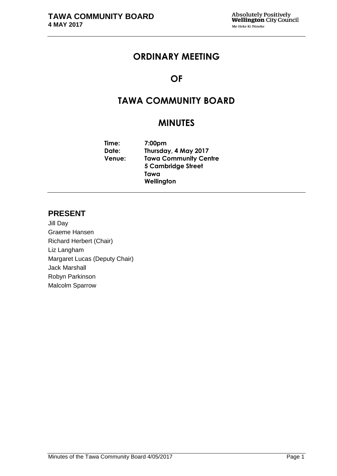# **ORDINARY MEETING**

# **OF**

# **TAWA COMMUNITY BOARD**

# **MINUTES**

**Time: 7:00pm Date: Thursday, 4 May 2017 Venue: Tawa Community Centre 5 Cambridge Street Tawa Wellington**

# **PRESENT**

Jill Day Graeme Hansen Richard Herbert (Chair) Liz Langham Margaret Lucas (Deputy Chair) Jack Marshall Robyn Parkinson Malcolm Sparrow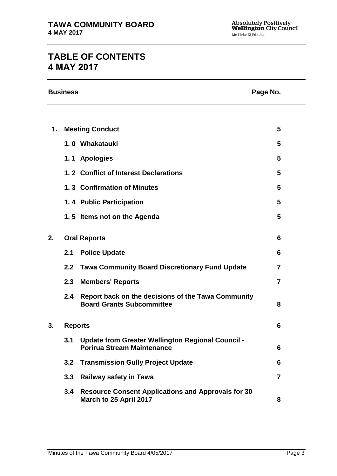# **TABLE OF CONTENTS 4 MAY 2017**

|    | <b>Business</b><br>Page No. |                                                                                               |                |  |  |
|----|-----------------------------|-----------------------------------------------------------------------------------------------|----------------|--|--|
|    |                             |                                                                                               |                |  |  |
| 1. |                             | <b>Meeting Conduct</b>                                                                        | 5              |  |  |
|    |                             | 1.0 Whakatauki                                                                                | 5              |  |  |
|    |                             | 1.1 Apologies                                                                                 | 5              |  |  |
|    |                             | 1.2 Conflict of Interest Declarations                                                         | 5              |  |  |
|    |                             | 1.3 Confirmation of Minutes                                                                   | 5              |  |  |
|    |                             | 1.4 Public Participation                                                                      | 5              |  |  |
|    |                             | 1.5 Items not on the Agenda                                                                   | 5              |  |  |
| 2. | <b>Oral Reports</b>         |                                                                                               | 6              |  |  |
|    | 2.1                         | <b>Police Update</b>                                                                          | 6              |  |  |
|    | 2.2                         | <b>Tawa Community Board Discretionary Fund Update</b>                                         | 7              |  |  |
|    | 2.3                         | <b>Members' Reports</b>                                                                       | $\overline{7}$ |  |  |
|    | 2.4                         | Report back on the decisions of the Tawa Community<br><b>Board Grants Subcommittee</b>        | 8              |  |  |
| 3. | <b>Reports</b>              |                                                                                               | 6              |  |  |
|    | 3.1                         | <b>Update from Greater Wellington Regional Council -</b><br><b>Porirua Stream Maintenance</b> | 6              |  |  |
|    | 3.2                         | <b>Transmission Gully Project Update</b>                                                      | 6              |  |  |
|    | 3.3                         | <b>Railway safety in Tawa</b>                                                                 | $\overline{7}$ |  |  |
|    | 3.4                         | <b>Resource Consent Applications and Approvals for 30</b><br>March to 25 April 2017           | 8              |  |  |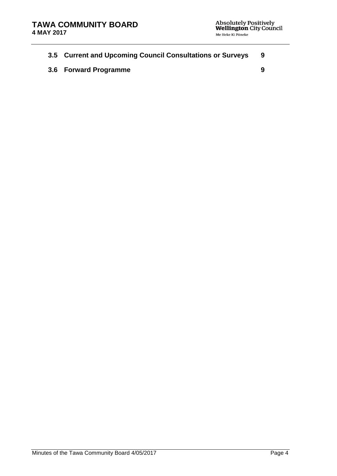|  |  | 3.5 Current and Upcoming Council Consultations or Surveys |  |
|--|--|-----------------------------------------------------------|--|
|  |  |                                                           |  |

**3.6 Forward Programme [9](#page-8-1)**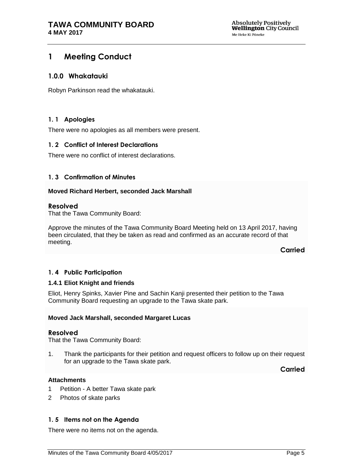# <span id="page-4-0"></span>**1 Meeting Conduct**

## **1.0.0 Whakatauki**

Robyn Parkinson read the whakatauki.

# <span id="page-4-1"></span>**1. 1 Apologies**

There were no apologies as all members were present.

## <span id="page-4-2"></span>**1. 2 Conflict of Interest Declarations**

There were no conflict of interest declarations.

## <span id="page-4-3"></span>**1. 3 Confirmation of Minutes**

## **Moved Richard Herbert, seconded Jack Marshall**

## **Resolved**

That the Tawa Community Board:

Approve the minutes of the Tawa Community Board Meeting held on 13 April 2017, having been circulated, that they be taken as read and confirmed as an accurate record of that meeting.

**Carried**

## <span id="page-4-5"></span>**1. 4 Public Participation**

## **1.4.1 Eliot Knight and friends**

Eliot, Henry Spinks, Xavier Pine and Sachin Kanji presented their petition to the Tawa Community Board requesting an upgrade to the Tawa skate park.

#### **Moved Jack Marshall, seconded Margaret Lucas**

#### **Resolved**

That the Tawa Community Board:

1. Thank the participants for their petition and request officers to follow up on their request for an upgrade to the Tawa skate park.

**Carried**

## **Attachments**

- 1 Petition A better Tawa skate park
- 2 Photos of skate parks

## <span id="page-4-4"></span>**1. 5 Items not on the Agenda**

There were no items not on the agenda.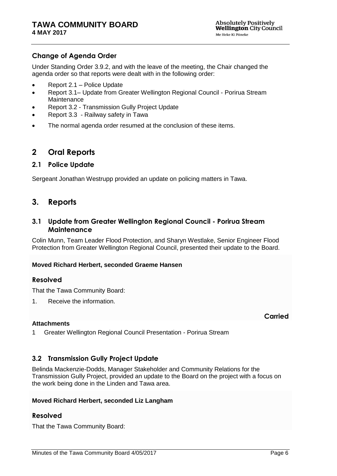# **Change of Agenda Order**

Under Standing Order 3.9.2, and with the leave of the meeting, the Chair changed the agenda order so that reports were dealt with in the following order:

- Report 2.1 Police Update
- Report 3.1– Update from Greater Wellington Regional Council Porirua Stream **Maintenance**
- Report 3.2 Transmission Gully Project Update
- Report 3.3 Railway safety in Tawa
- The normal agenda order resumed at the conclusion of these items.

# <span id="page-5-0"></span>**2 Oral Reports**

## **2.1 Police Update**

Sergeant Jonathan Westrupp provided an update on policing matters in Tawa.

# <span id="page-5-2"></span>**3. Reports**

## <span id="page-5-1"></span>**3.1 Update from Greater Wellington Regional Council - Porirua Stream Maintenance**

Colin Munn, Team Leader Flood Protection, and Sharyn Westlake, Senior Engineer Flood Protection from Greater Wellington Regional Council, presented their update to the Board.

## **Moved Richard Herbert, seconded Graeme Hansen**

## **Resolved**

That the Tawa Community Board:

1. Receive the information.

#### **Attachments**

**Carried**

1 Greater Wellington Regional Council Presentation - Porirua Stream

# <span id="page-5-3"></span>**3.2 Transmission Gully Project Update**

Belinda Mackenzie-Dodds, Manager Stakeholder and Community Relations for the Transmission Gully Project, provided an update to the Board on the project with a focus on the work being done in the Linden and Tawa area.

#### **Moved Richard Herbert, seconded Liz Langham**

# **Resolved**

That the Tawa Community Board: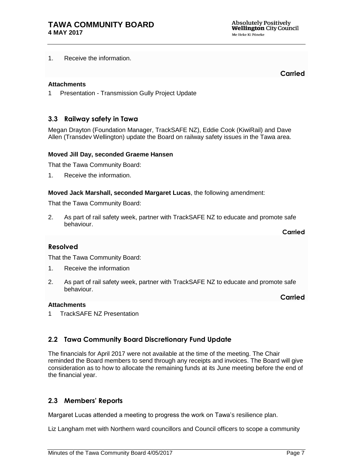1. Receive the information.

## **Attachments**

**Carried**

1 Presentation - Transmission Gully Project Update

## <span id="page-6-0"></span>**3.3 Railway safety in Tawa**

Megan Drayton (Foundation Manager, TrackSAFE NZ), Eddie Cook (KiwiRail) and Dave Allen (Transdev Wellington) update the Board on railway safety issues in the Tawa area.

### **Moved Jill Day, seconded Graeme Hansen**

That the Tawa Community Board:

1. Receive the information.

**Moved Jack Marshall, seconded Margaret Lucas**, the following amendment:

That the Tawa Community Board:

2. As part of rail safety week, partner with TrackSAFE NZ to educate and promote safe behaviour.

**Carried**

**Carried**

## **Resolved**

That the Tawa Community Board:

- 1. Receive the information
- 2. As part of rail safety week, partner with TrackSAFE NZ to educate and promote safe behaviour.

#### **Attachments**

1 TrackSAFE NZ Presentation

# **2.2 Tawa Community Board Discretionary Fund Update**

The financials for April 2017 were not available at the time of the meeting. The Chair reminded the Board members to send through any receipts and invoices. The Board will give consideration as to how to allocate the remaining funds at its June meeting before the end of the financial year.

# **2.3 Members' Reports**

Margaret Lucas attended a meeting to progress the work on Tawa's resilience plan.

Liz Langham met with Northern ward councillors and Council officers to scope a community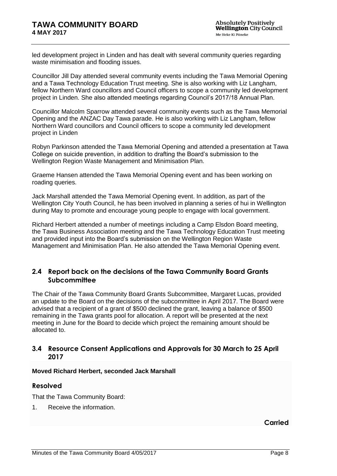led development project in Linden and has dealt with several community queries regarding waste minimisation and flooding issues.

Councillor Jill Day attended several community events including the Tawa Memorial Opening and a Tawa Technology Education Trust meeting. She is also working with Liz Langham, fellow Northern Ward councillors and Council officers to scope a community led development project in Linden. She also attended meetings regarding Council's 2017/18 Annual Plan.

Councillor Malcolm Sparrow attended several community events such as the Tawa Memorial Opening and the ANZAC Day Tawa parade. He is also working with Liz Langham, fellow Northern Ward councillors and Council officers to scope a community led development project in Linden

Robyn Parkinson attended the Tawa Memorial Opening and attended a presentation at Tawa College on suicide prevention, in addition to drafting the Board's submission to the Wellington Region Waste Management and Minimisation Plan.

Graeme Hansen attended the Tawa Memorial Opening event and has been working on roading queries.

Jack Marshall attended the Tawa Memorial Opening event. In addition, as part of the Wellington City Youth Council, he has been involved in planning a series of hui in Wellington during May to promote and encourage young people to engage with local government.

Richard Herbert attended a number of meetings including a Camp Elsdon Board meeting, the Tawa Business Association meeting and the Tawa Technology Education Trust meeting and provided input into the Board's submission on the Wellington Region Waste Management and Minimisation Plan. He also attended the Tawa Memorial Opening event.

# **2.4 Report back on the decisions of the Tawa Community Board Grants Subcommittee**

The Chair of the Tawa Community Board Grants Subcommittee, Margaret Lucas, provided an update to the Board on the decisions of the subcommittee in April 2017. The Board were advised that a recipient of a grant of \$500 declined the grant, leaving a balance of \$500 remaining in the Tawa grants pool for allocation. A report will be presented at the next meeting in June for the Board to decide which project the remaining amount should be allocated to.

# <span id="page-7-0"></span>**3.4 Resource Consent Applications and Approvals for 30 March to 25 April 2017**

## **Moved Richard Herbert, seconded Jack Marshall**

# **Resolved**

That the Tawa Community Board:

1. Receive the information.

**Carried**